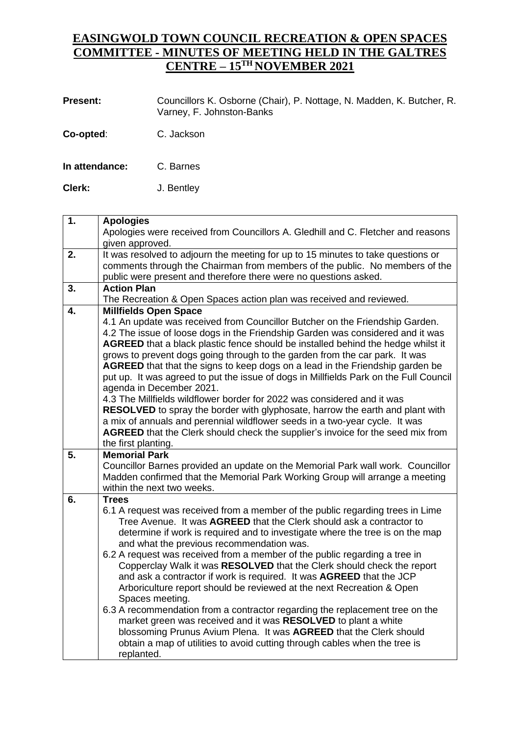## **EASINGWOLD TOWN COUNCIL RECREATION & OPEN SPACES COMMITTEE - MINUTES OF MEETING HELD IN THE GALTRES CENTRE – 15TH NOVEMBER 2021**

| <b>Present:</b> | Councillors K. Osborne (Chair), P. Nottage, N. Madden, K. Butcher, R.<br>Varney, F. Johnston-Banks |
|-----------------|----------------------------------------------------------------------------------------------------|
| Co-opted:       | C. Jackson                                                                                         |
| In attendance:  | C. Barnes                                                                                          |

**Clerk:** J. Bentley

| $\overline{1}$ . | <b>Apologies</b><br>Apologies were received from Councillors A. Gledhill and C. Fletcher and reasons<br>given approved.                                                                                                             |
|------------------|-------------------------------------------------------------------------------------------------------------------------------------------------------------------------------------------------------------------------------------|
| 2.               | It was resolved to adjourn the meeting for up to 15 minutes to take questions or<br>comments through the Chairman from members of the public. No members of the<br>public were present and therefore there were no questions asked. |
| 3.               | <b>Action Plan</b>                                                                                                                                                                                                                  |
|                  | The Recreation & Open Spaces action plan was received and reviewed.                                                                                                                                                                 |
| 4.               | <b>Millfields Open Space</b>                                                                                                                                                                                                        |
|                  | 4.1 An update was received from Councillor Butcher on the Friendship Garden.                                                                                                                                                        |
|                  | 4.2 The issue of loose dogs in the Friendship Garden was considered and it was<br>AGREED that a black plastic fence should be installed behind the hedge whilst it                                                                  |
|                  | grows to prevent dogs going through to the garden from the car park. It was                                                                                                                                                         |
|                  | AGREED that that the signs to keep dogs on a lead in the Friendship garden be                                                                                                                                                       |
|                  | put up. It was agreed to put the issue of dogs in Millfields Park on the Full Council                                                                                                                                               |
|                  | agenda in December 2021.                                                                                                                                                                                                            |
|                  | 4.3 The Millfields wildflower border for 2022 was considered and it was                                                                                                                                                             |
|                  | RESOLVED to spray the border with glyphosate, harrow the earth and plant with                                                                                                                                                       |
|                  | a mix of annuals and perennial wildflower seeds in a two-year cycle. It was                                                                                                                                                         |
|                  | AGREED that the Clerk should check the supplier's invoice for the seed mix from                                                                                                                                                     |
|                  | the first planting.                                                                                                                                                                                                                 |
| 5.               | <b>Memorial Park</b><br>Councillor Barnes provided an update on the Memorial Park wall work. Councillor                                                                                                                             |
|                  | Madden confirmed that the Memorial Park Working Group will arrange a meeting                                                                                                                                                        |
|                  | within the next two weeks.                                                                                                                                                                                                          |
| 6.               | <b>Trees</b>                                                                                                                                                                                                                        |
|                  | 6.1 A request was received from a member of the public regarding trees in Lime                                                                                                                                                      |
|                  | Tree Avenue. It was AGREED that the Clerk should ask a contractor to                                                                                                                                                                |
|                  | determine if work is required and to investigate where the tree is on the map                                                                                                                                                       |
|                  | and what the previous recommendation was.                                                                                                                                                                                           |
|                  | 6.2 A request was received from a member of the public regarding a tree in                                                                                                                                                          |
|                  | Copperclay Walk it was RESOLVED that the Clerk should check the report                                                                                                                                                              |
|                  | and ask a contractor if work is required. It was AGREED that the JCP<br>Arboriculture report should be reviewed at the next Recreation & Open                                                                                       |
|                  | Spaces meeting.                                                                                                                                                                                                                     |
|                  | 6.3 A recommendation from a contractor regarding the replacement tree on the                                                                                                                                                        |
|                  | market green was received and it was RESOLVED to plant a white                                                                                                                                                                      |
|                  | blossoming Prunus Avium Plena. It was AGREED that the Clerk should                                                                                                                                                                  |
|                  | obtain a map of utilities to avoid cutting through cables when the tree is                                                                                                                                                          |
|                  |                                                                                                                                                                                                                                     |